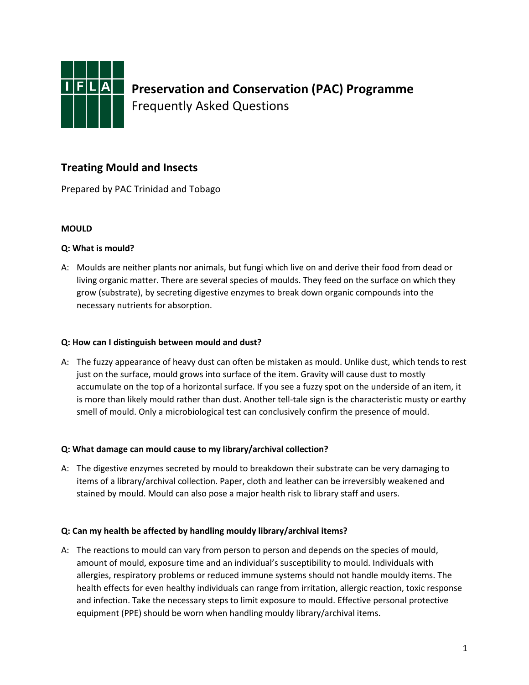

# **Treating Mould and Insects**

Prepared by PAC Trinidad and Tobago

### **MOULD**

### **Q: What is mould?**

A: Moulds are neither plants nor animals, but fungi which live on and derive their food from dead or living organic matter. There are several species of moulds. They feed on the surface on which they grow (substrate), by secreting digestive enzymes to break down organic compounds into the necessary nutrients for absorption.

#### **Q: How can I distinguish between mould and dust?**

A: The fuzzy appearance of heavy dust can often be mistaken as mould. Unlike dust, which tends to rest just on the surface, mould grows into surface of the item. Gravity will cause dust to mostly accumulate on the top of a horizontal surface. If you see a fuzzy spot on the underside of an item, it is more than likely mould rather than dust. Another tell-tale sign is the characteristic musty or earthy smell of mould. Only a microbiological test can conclusively confirm the presence of mould.

#### **Q: What damage can mould cause to my library/archival collection?**

A: The digestive enzymes secreted by mould to breakdown their substrate can be very damaging to items of a library/archival collection. Paper, cloth and leather can be irreversibly weakened and stained by mould. Mould can also pose a major health risk to library staff and users.

### **Q: Can my health be affected by handling mouldy library/archival items?**

A: The reactions to mould can vary from person to person and depends on the species of mould, amount of mould, exposure time and an individual's susceptibility to mould. Individuals with allergies, respiratory problems or reduced immune systems should not handle mouldy items. The health effects for even healthy individuals can range from irritation, allergic reaction, toxic response and infection. Take the necessary steps to limit exposure to mould. Effective personal protective equipment (PPE) should be worn when handling mouldy library/archival items.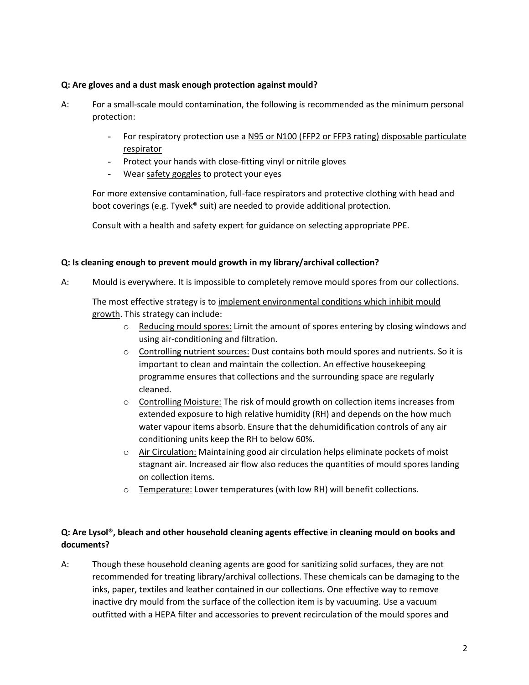#### **Q: Are gloves and a dust mask enough protection against mould?**

- A: For a small-scale mould contamination, the following is recommended as the minimum personal protection:
	- For respiratory protection use a N95 or N100 (FFP2 or FFP3 rating) disposable particulate respirator
	- Protect your hands with close-fitting vinyl or nitrile gloves
	- Wear safety goggles to protect your eyes

For more extensive contamination, full-face respirators and protective clothing with head and boot coverings (e.g. Tyvek® suit) are needed to provide additional protection.

Consult with a health and safety expert for guidance on selecting appropriate PPE.

#### **Q: Is cleaning enough to prevent mould growth in my library/archival collection?**

A: Mould is everywhere. It is impossible to completely remove mould spores from our collections.

The most effective strategy is to implement environmental conditions which inhibit mould growth. This strategy can include:

- $\circ$  Reducing mould spores: Limit the amount of spores entering by closing windows and using air-conditioning and filtration.
- o Controlling nutrient sources: Dust contains both mould spores and nutrients. So it is important to clean and maintain the collection. An effective housekeeping programme ensures that collections and the surrounding space are regularly cleaned.
- $\circ$  Controlling Moisture: The risk of mould growth on collection items increases from extended exposure to high relative humidity (RH) and depends on the how much water vapour items absorb. Ensure that the dehumidification controls of any air conditioning units keep the RH to below 60%.
- o Air Circulation: Maintaining good air circulation helps eliminate pockets of moist stagnant air. Increased air flow also reduces the quantities of mould spores landing on collection items.
- o Temperature: Lower temperatures (with low RH) will benefit collections.

## **Q: Are Lysol®, bleach and other household cleaning agents effective in cleaning mould on books and documents?**

A: Though these household cleaning agents are good for sanitizing solid surfaces, they are not recommended for treating library/archival collections. These chemicals can be damaging to the inks, paper, textiles and leather contained in our collections. One effective way to remove inactive dry mould from the surface of the collection item is by vacuuming. Use a vacuum outfitted with a HEPA filter and accessories to prevent recirculation of the mould spores and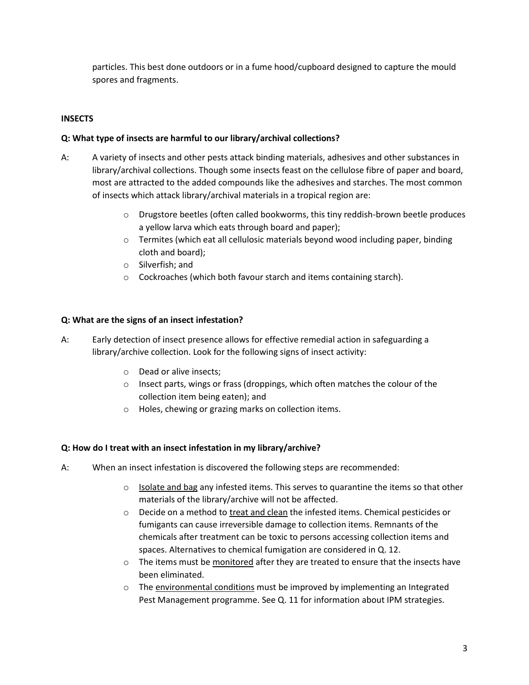particles. This best done outdoors or in a fume hood/cupboard designed to capture the mould spores and fragments.

## **INSECTS**

### **Q: What type of insects are harmful to our library/archival collections?**

- A: A variety of insects and other pests attack binding materials, adhesives and other substances in library/archival collections. Though some insects feast on the cellulose fibre of paper and board, most are attracted to the added compounds like the adhesives and starches. The most common of insects which attack library/archival materials in a tropical region are:
	- $\circ$  Drugstore beetles (often called bookworms, this tiny reddish-brown beetle produces a yellow larva which eats through board and paper);
	- $\circ$  Termites (which eat all cellulosic materials beyond wood including paper, binding cloth and board);
	- o Silverfish; and
	- o Cockroaches (which both favour starch and items containing starch).

### **Q: What are the signs of an insect infestation?**

A: Early detection of insect presence allows for effective remedial action in safeguarding a library/archive collection. Look for the following signs of insect activity:

- o Dead or alive insects;
- o Insect parts, wings or frass (droppings, which often matches the colour of the collection item being eaten); and
- o Holes, chewing or grazing marks on collection items.

### **Q: How do I treat with an insect infestation in my library/archive?**

- A: When an insect infestation is discovered the following steps are recommended:
	- $\circ$  Isolate and bag any infested items. This serves to quarantine the items so that other materials of the library/archive will not be affected.
	- $\circ$  Decide on a method to treat and clean the infested items. Chemical pesticides or fumigants can cause irreversible damage to collection items. Remnants of the chemicals after treatment can be toxic to persons accessing collection items and spaces. Alternatives to chemical fumigation are considered in Q. 12.
	- $\circ$  The items must be monitored after they are treated to ensure that the insects have been eliminated.
	- o The environmental conditions must be improved by implementing an Integrated Pest Management programme. See Q. 11 for information about IPM strategies.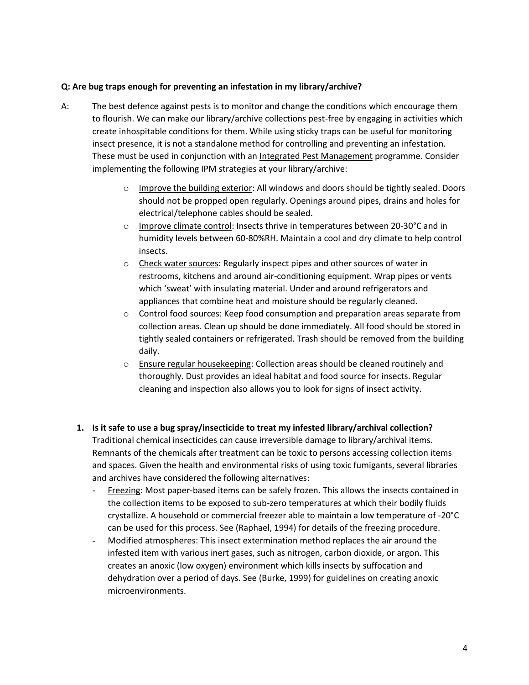#### **Q: Are bug traps enough for preventing an infestation in my library/archive?**

- A: The best defence against pests is to monitor and change the conditions which encourage them to flourish. We can make our library/archive collections pest-free by engaging in activities which create inhospitable conditions for them. While using sticky traps can be useful for monitoring insect presence, it is not a standalone method for controlling and preventing an infestation. These must be used in conjunction with an Integrated Pest Management programme. Consider implementing the following IPM strategies at your library/archive:
	- $\circ$  Improve the building exterior: All windows and doors should be tightly sealed. Doors should not be propped open regularly. Openings around pipes, drains and holes for electrical/telephone cables should be sealed.
	- o Improve climate control: Insects thrive in temperatures between 20-30°C and in humidity levels between 60-80%RH. Maintain a cool and dry climate to help control insects.
	- o Check water sources: Regularly inspect pipes and other sources of water in restrooms, kitchens and around air-conditioning equipment. Wrap pipes or vents which 'sweat' with insulating material. Under and around refrigerators and appliances that combine heat and moisture should be regularly cleaned.
	- $\circ$  Control food sources: Keep food consumption and preparation areas separate from collection areas. Clean up should be done immediately. All food should be stored in tightly sealed containers or refrigerated. Trash should be removed from the building daily.
	- o Ensure regular housekeeping: Collection areas should be cleaned routinely and thoroughly. Dust provides an ideal habitat and food source for insects. Regular cleaning and inspection also allows you to look for signs of insect activity.
	- **1. Is it safe to use a bug spray/insecticide to treat my infested library/archival collection?** Traditional chemical insecticides can cause irreversible damage to library/archival items. Remnants of the chemicals after treatment can be toxic to persons accessing collection items and spaces. Given the health and environmental risks of using toxic fumigants, several libraries and archives have considered the following alternatives:
		- Freezing: Most paper-based items can be safely frozen. This allows the insects contained in the collection items to be exposed to sub-zero temperatures at which their bodily fluids crystallize. A household or commercial freezer able to maintain a low temperature of -20°C can be used for this process. See (Raphael, 1994) for details of the freezing procedure.
		- Modified atmospheres: This insect extermination method replaces the air around the infested item with various inert gases, such as nitrogen, carbon dioxide, or argon. This creates an anoxic (low oxygen) environment which kills insects by suffocation and dehydration over a period of days. See (Burke, 1999) for guidelines on creating anoxic microenvironments.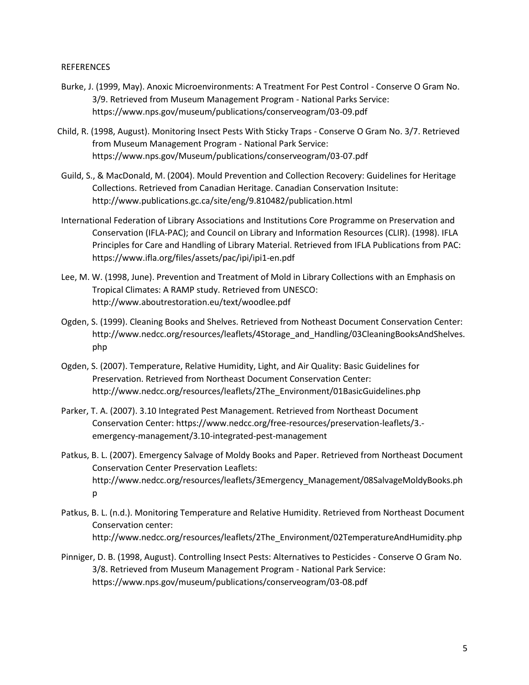#### **REFERENCES**

- Burke, J. (1999, May). Anoxic Microenvironments: A Treatment For Pest Control Conserve O Gram No. 3/9. Retrieved from Museum Management Program - National Parks Service: https://www.nps.gov/museum/publications/conserveogram/03-09.pdf
- Child, R. (1998, August). Monitoring Insect Pests With Sticky Traps Conserve O Gram No. 3/7. Retrieved from Museum Management Program - National Park Service: https://www.nps.gov/Museum/publications/conserveogram/03-07.pdf
- Guild, S., & MacDonald, M. (2004). Mould Prevention and Collection Recovery: Guidelines for Heritage Collections. Retrieved from Canadian Heritage. Canadian Conservation Insitute: http://www.publications.gc.ca/site/eng/9.810482/publication.html
- International Federation of Library Associations and Institutions Core Programme on Preservation and Conservation (IFLA-PAC); and Council on Library and Information Resources (CLIR). (1998). IFLA Principles for Care and Handling of Library Material. Retrieved from IFLA Publications from PAC: https://www.ifla.org/files/assets/pac/ipi/ipi1-en.pdf
- Lee, M. W. (1998, June). Prevention and Treatment of Mold in Library Collections with an Emphasis on Tropical Climates: A RAMP study. Retrieved from UNESCO: http://www.aboutrestoration.eu/text/woodlee.pdf
- Ogden, S. (1999). Cleaning Books and Shelves. Retrieved from Notheast Document Conservation Center: http://www.nedcc.org/resources/leaflets/4Storage\_and\_Handling/03CleaningBooksAndShelves. php
- Ogden, S. (2007). Temperature, Relative Humidity, Light, and Air Quality: Basic Guidelines for Preservation. Retrieved from Northeast Document Conservation Center: http://www.nedcc.org/resources/leaflets/2The\_Environment/01BasicGuidelines.php
- Parker, T. A. (2007). 3.10 Integrated Pest Management. Retrieved from Northeast Document Conservation Center: https://www.nedcc.org/free-resources/preservation-leaflets/3. emergency-management/3.10-integrated-pest-management
- Patkus, B. L. (2007). Emergency Salvage of Moldy Books and Paper. Retrieved from Northeast Document Conservation Center Preservation Leaflets: http://www.nedcc.org/resources/leaflets/3Emergency\_Management/08SalvageMoldyBooks.ph p
- Patkus, B. L. (n.d.). Monitoring Temperature and Relative Humidity. Retrieved from Northeast Document Conservation center: http://www.nedcc.org/resources/leaflets/2The\_Environment/02TemperatureAndHumidity.php
- Pinniger, D. B. (1998, August). Controlling Insect Pests: Alternatives to Pesticides Conserve O Gram No. 3/8. Retrieved from Museum Management Program - National Park Service: https://www.nps.gov/museum/publications/conserveogram/03-08.pdf